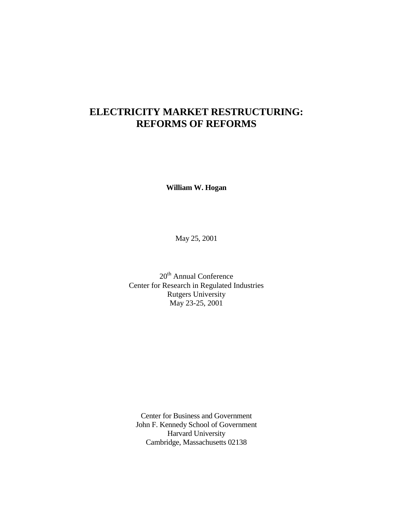# **ELECTRICITY MARKET RESTRUCTURING: REFORMS OF REFORMS**

**William W. Hogan**

May 25, 2001

20<sup>th</sup> Annual Conference Center for Research in Regulated Industries Rutgers University May 23-25, 2001

Center for Business and Government John F. Kennedy School of Government Harvard University Cambridge, Massachusetts 02138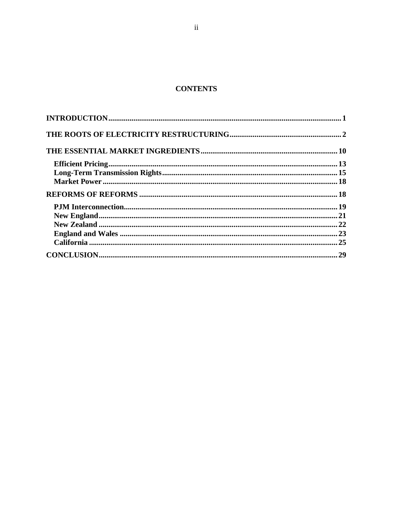# **CONTENTS**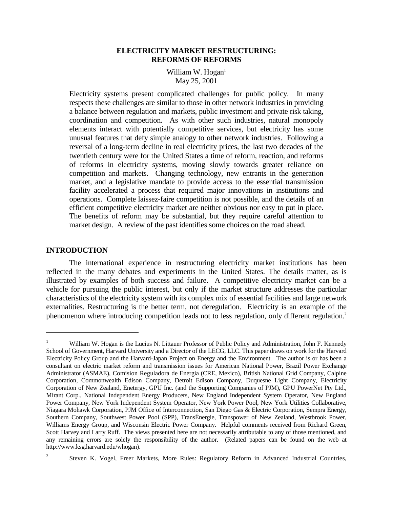## **ELECTRICITY MARKET RESTRUCTURING: REFORMS OF REFORMS**

# William W. Hogan $<sup>1</sup>$ </sup> May 25, 2001

Electricity systems present complicated challenges for public policy. In many respects these challenges are similar to those in other network industries in providing a balance between regulation and markets, public investment and private risk taking, coordination and competition. As with other such industries, natural monopoly elements interact with potentially competitive services, but electricity has some unusual features that defy simple analogy to other network industries. Following a reversal of a long-term decline in real electricity prices, the last two decades of the twentieth century were for the United States a time of reform, reaction, and reforms of reforms in electricity systems, moving slowly towards greater reliance on competition and markets. Changing technology, new entrants in the generation market, and a legislative mandate to provide access to the essential transmission facility accelerated a process that required major innovations in institutions and operations. Complete laissez-faire competition is not possible, and the details of an efficient competitive electricity market are neither obvious nor easy to put in place. The benefits of reform may be substantial, but they require careful attention to market design. A review of the past identifies some choices on the road ahead.

#### **INTRODUCTION**

 $\overline{a}$ 

The international experience in restructuring electricity market institutions has been reflected in the many debates and experiments in the United States. The details matter, as is illustrated by examples of both success and failure. A competitive electricity market can be a vehicle for pursuing the public interest, but only if the market structure addresses the particular characteristics of the electricity system with its complex mix of essential facilities and large network externalities. Restructuring is the better term, not deregulation. Electricity is an example of the phenomenon where introducing competition leads not to less regulation, only different regulation.2

William W. Hogan is the Lucius N. Littauer Professor of Public Policy and Administration, John F. Kennedy School of Government, Harvard University and a Director of the LECG, LLC. This paper draws on work for the Harvard Electricity Policy Group and the Harvard-Japan Project on Energy and the Environment. The author is or has been a consultant on electric market reform and transmission issues for American National Power, Brazil Power Exchange Administrator (ASMAE), Comision Reguladora de Energia (CRE, Mexico), British National Grid Company, Calpine Corporation, Commonwealth Edison Company, Detroit Edison Company, Duquesne Light Company, Electricity Corporation of New Zealand, Enetergy, GPU Inc. (and the Supporting Companies of PJM), GPU PowerNet Pty Ltd., Mirant Corp., National Independent Energy Producers, New England Independent System Operator, New England Power Company, New York Independent System Operator, New York Power Pool, New York Utilities Collaborative, Niagara Mohawk Corporation, PJM Office of Interconnection, San Diego Gas & Electric Corporation, Sempra Energy, Southern Company, Southwest Power Pool (SPP), TransÉnergie, Transpower of New Zealand, Westbrook Power, Williams Energy Group, and Wisconsin Electric Power Company. Helpful comments received from Richard Green, Scott Harvey and Larry Ruff. The views presented here are not necessarily attributable to any of those mentioned, and any remaining errors are solely the responsibility of the author. (Related papers can be found on the web at http://www.ksg.harvard.edu/whogan).

<sup>2</sup> Steven K. Vogel, Freer Markets, More Rules: Regulatory Reform in Advanced Industrial Countries,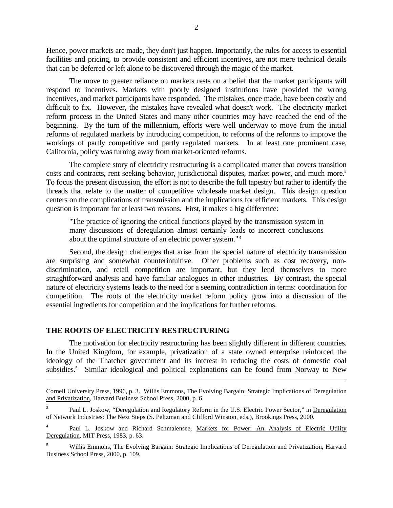Hence, power markets are made, they don't just happen. Importantly, the rules for access to essential facilities and pricing, to provide consistent and efficient incentives, are not mere technical details that can be deferred or left alone to be discovered through the magic of the market.

The move to greater reliance on markets rests on a belief that the market participants will respond to incentives. Markets with poorly designed institutions have provided the wrong incentives, and market participants have responded. The mistakes, once made, have been costly and difficult to fix. However, the mistakes have revealed what doesn't work. The electricity market reform process in the United States and many other countries may have reached the end of the beginning. By the turn of the millennium, efforts were well underway to move from the initial reforms of regulated markets by introducing competition, to reforms of the reforms to improve the workings of partly competitive and partly regulated markets. In at least one prominent case, California, policy was turning away from market-oriented reforms.

The complete story of electricity restructuring is a complicated matter that covers transition costs and contracts, rent seeking behavior, jurisdictional disputes, market power, and much more.<sup>3</sup> To focus the present discussion, the effort is not to describe the full tapestry but rather to identify the threads that relate to the matter of competitive wholesale market design. This design question centers on the complications of transmission and the implications for efficient markets. This design question is important for at least two reasons. First, it makes a big difference:

"The practice of ignoring the critical functions played by the transmission system in many discussions of deregulation almost certainly leads to incorrect conclusions about the optimal structure of an electric power system." 4

Second, the design challenges that arise from the special nature of electricity transmission are surprising and somewhat counterintuitive. Other problems such as cost recovery, nondiscrimination, and retail competition are important, but they lend themselves to more straightforward analysis and have familiar analogues in other industries. By contrast, the special nature of electricity systems leads to the need for a seeming contradiction in terms: coordination for competition. The roots of the electricity market reform policy grow into a discussion of the essential ingredients for competition and the implications for further reforms.

### **THE ROOTS OF ELECTRICITY RESTRUCTURING**

 $\overline{a}$ 

The motivation for electricity restructuring has been slightly different in different countries. In the United Kingdom, for example, privatization of a state owned enterprise reinforced the ideology of the Thatcher government and its interest in reducing the costs of domestic coal subsidies.<sup>5</sup> Similar ideological and political explanations can be found from Norway to New

3 Paul L. Joskow, "Deregulation and Regulatory Reform in the U.S. Electric Power Sector," in Deregulation of Network Industries: The Next Steps (S. Peltzman and Clifford Winston, eds.), Brookings Press, 2000.

4 Paul L. Joskow and Richard Schmalensee, Markets for Power: An Analysis of Electric Utility Deregulation, MIT Press, 1983, p. 63.

5 Willis Emmons, The Evolving Bargain: Strategic Implications of Deregulation and Privatization, Harvard Business School Press, 2000, p. 109.

Cornell University Press, 1996, p. 3. Willis Emmons, The Evolving Bargain: Strategic Implications of Deregulation and Privatization, Harvard Business School Press, 2000, p. 6.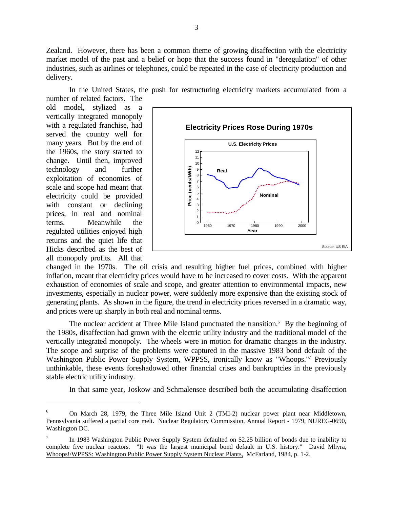Zealand. However, there has been a common theme of growing disaffection with the electricity market model of the past and a belief or hope that the success found in "deregulation" of other industries, such as airlines or telephones, could be repeated in the case of electricity production and delivery.

In the United States, the push for restructuring electricity markets accumulated from a

number of related factors. The old model, stylized as a vertically integrated monopoly with a regulated franchise, had served the country well for many years. But by the end of the 1960s, the story started to change. Until then, improved technology and further exploitation of economies of scale and scope had meant that electricity could be provided with constant or declining prices, in real and nominal terms. Meanwhile the regulated utilities enjoyed high returns and the quiet life that Hicks described as the best of all monopoly profits. All that

 $\overline{a}$ 



changed in the 1970s. The oil crisis and resulting higher fuel prices, combined with higher inflation, meant that electricity prices would have to be increased to cover costs. With the apparent exhaustion of economies of scale and scope, and greater attention to environmental impacts, new investments, especially in nuclear power, were suddenly more expensive than the existing stock of generating plants. As shown in the figure, the trend in electricity prices reversed in a dramatic way, and prices were up sharply in both real and nominal terms.

The nuclear accident at Three Mile Island punctuated the transition.<sup>6</sup> By the beginning of the 1980s, disaffection had grown with the electric utility industry and the traditional model of the vertically integrated monopoly. The wheels were in motion for dramatic changes in the industry. The scope and surprise of the problems were captured in the massive 1983 bond default of the Washington Public Power Supply System, WPPSS, ironically know as "Whoops."7 Previously unthinkable, these events foreshadowed other financial crises and bankruptcies in the previously stable electric utility industry.

In that same year, Joskow and Schmalensee described both the accumulating disaffection

<sup>6</sup> On March 28, 1979, the Three Mile Island Unit 2 (TMI-2) nuclear power plant near Middletown, Pennsylvania suffered a partial core melt. Nuclear Regulatory Commission, Annual Report - 1979, NUREG-0690, Washington DC.

<sup>7</sup> In 1983 Washington Public Power Supply System defaulted on \$2.25 billion of bonds due to inability to complete five nuclear reactors. "It was the largest municipal bond default in U.S. history." David Mhyra, Whoops!/WPPSS: Washington Public Power Supply System Nuclear Plants, McFarland, 1984, p. 1-2.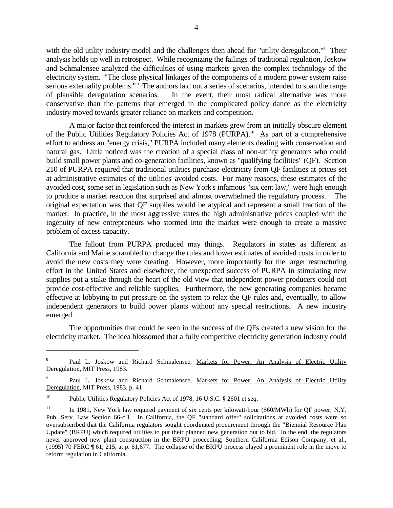with the old utility industry model and the challenges then ahead for "utility deregulation."<sup>8</sup> Their analysis holds up well in retrospect. While recognizing the failings of traditional regulation, Joskow and Schmalensee analyzed the difficulties of using markets given the complex technology of the electricity system. "The close physical linkages of the components of a modern power system raise serious externality problems."<sup>9</sup> The authors laid out a series of scenarios, intended to span the range of plausible deregulation scenarios. In the event, their most radical alternative was more conservative than the patterns that emerged in the complicated policy dance as the electricity industry moved towards greater reliance on markets and competition.

A major factor that reinforced the interest in markets grew from an initially obscure element of the Public Utilities Regulatory Policies Act of 1978 (PURPA).<sup>10</sup> As part of a comprehensive effort to address an "energy crisis," PURPA included many elements dealing with conservation and natural gas. Little noticed was the creation of a special class of non-utility generators who could build small power plants and co-generation facilities, known as "qualifying facilities" (QF). Section 210 of PURPA required that traditional utilities purchase electricity from QF facilities at prices set at administrative estimates of the utilities' avoided costs. For many reasons, these estimates of the avoided cost, some set in legislation such as New York's infamous "six cent law," were high enough to produce a market reaction that surprised and almost overwhelmed the regulatory process.<sup>11</sup> The original expectation was that QF supplies would be atypical and represent a small fraction of the market. In practice, in the most aggressive states the high administrative prices coupled with the ingenuity of new entrepreneurs who stormed into the market were enough to create a massive problem of excess capacity.

The fallout from PURPA produced may things. Regulators in states as different as California and Maine scrambled to change the rules and lower estimates of avoided costs in order to avoid the new costs they were creating. However, more importantly for the larger restructuring effort in the United States and elsewhere, the unexpected success of PURPA in stimulating new supplies put a stake through the heart of the old view that independent power producers could not provide cost-effective and reliable supplies. Furthermore, the new generating companies became effective at lobbying to put pressure on the system to relax the QF rules and, eventually, to allow independent generators to build power plants without any special restrictions. A new industry emerged.

The opportunities that could be seen in the success of the QFs created a new vision for the electricity market. The idea blossomed that a fully competitive electricity generation industry could

<sup>8</sup> Paul L. Joskow and Richard Schmalensee, Markets for Power: An Analysis of Electric Utility Deregulation, MIT Press, 1983.

<sup>9</sup> Paul L. Joskow and Richard Schmalensee, Markets for Power: An Analysis of Electric Utility Deregulation, MIT Press, 1983, p. 41

<sup>&</sup>lt;sup>10</sup> Public Utilities Regulatory Policies Act of 1978, 16 U.S.C. § 2601 et seq.

 $11$  In 1981, New York law required payment of six cents per kilowatt-hour (\$60/MWh) for QF power; N.Y. Pub. Serv. Law Section 66-c.1. In California, the QF "standard offer" solicitations at avoided costs were so oversubscribed that the California regulators sought coordinated procurement through the "Biennial Resource Plan Update" (BRPU) which required utilities to put their planned new generation out to bid. In the end, the regulators never approved new plant construction in the BRPU proceeding; Southern California Edison Company, et al., (1995) 70 FERC ¶ 61, 215, at p. 61,677. The collapse of the BRPU process played a prominent role in the move to reform regulation in California.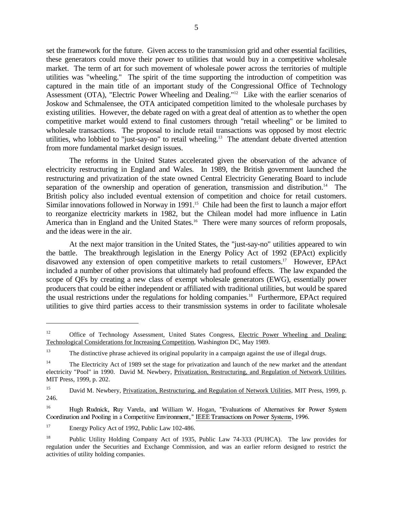set the framework for the future. Given access to the transmission grid and other essential facilities, these generators could move their power to utilities that would buy in a competitive wholesale market. The term of art for such movement of wholesale power across the territories of multiple utilities was "wheeling." The spirit of the time supporting the introduction of competition was captured in the main title of an important study of the Congressional Office of Technology Assessment (OTA), "Electric Power Wheeling and Dealing."12 Like with the earlier scenarios of Joskow and Schmalensee, the OTA anticipated competition limited to the wholesale purchases by existing utilities. However, the debate raged on with a great deal of attention as to whether the open competitive market would extend to final customers through "retail wheeling" or be limited to wholesale transactions. The proposal to include retail transactions was opposed by most electric utilities, who lobbied to "just-say-no" to retail wheeling.<sup>13</sup> The attendant debate diverted attention from more fundamental market design issues.

The reforms in the United States accelerated given the observation of the advance of electricity restructuring in England and Wales. In 1989, the British government launched the restructuring and privatization of the state owned Central Electricity Generating Board to include separation of the ownership and operation of generation, transmission and distribution.<sup>14</sup> The British policy also included eventual extension of competition and choice for retail customers. Similar innovations followed in Norway in 1991.<sup>15</sup> Chile had been the first to launch a major effort to reorganize electricity markets in 1982, but the Chilean model had more influence in Latin America than in England and the United States.<sup>16</sup> There were many sources of reform proposals, and the ideas were in the air.

At the next major transition in the United States, the "just-say-no" utilities appeared to win the battle. The breakthrough legislation in the Energy Policy Act of 1992 (EPAct) explicitly disavowed any extension of open competitive markets to retail customers.<sup>17</sup> However, EPAct included a number of other provisions that ultimately had profound effects. The law expanded the scope of QFs by creating a new class of exempt wholesale generators (EWG), essentially power producers that could be either independent or affiliated with traditional utilities, but would be spared the usual restrictions under the regulations for holding companies.18 Furthermore, EPAct required utilities to give third parties access to their transmission systems in order to facilitate wholesale

<sup>16</sup> Hugh Rudnick, Ruy Varela, and William W. Hogan, "Evaluations of Alternatives for Power System Coordination and Pooling in a Competitive Environment," IEEE Transactions on Power Systems, 1996.

<sup>17</sup> Energy Policy Act of 1992, Public Law 102-486.

<sup>&</sup>lt;sup>12</sup> Office of Technology Assessment, United States Congress, Electric Power Wheeling and Dealing: Technological Considerations for Increasing Competition, Washington DC, May 1989.

<sup>&</sup>lt;sup>13</sup> The distinctive phrase achieved its original popularity in a campaign against the use of illegal drugs.

<sup>&</sup>lt;sup>14</sup> The Electricity Act of 1989 set the stage for privatization and launch of the new market and the attendant electricity "Pool" in 1990. David M. Newbery, Privatization, Restructuring, and Regulation of Network Utilities, MIT Press, 1999, p. 202.

<sup>&</sup>lt;sup>15</sup> David M. Newbery, Privatization, Restructuring, and Regulation of Network Utilities, MIT Press, 1999, p. 246.

<sup>&</sup>lt;sup>18</sup> Public Utility Holding Company Act of 1935, Public Law 74-333 (PUHCA). The law provides for regulation under the Securities and Exchange Commission, and was an earlier reform designed to restrict the activities of utility holding companies.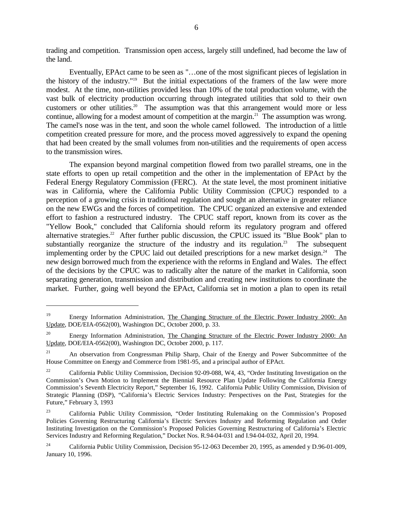trading and competition. Transmission open access, largely still undefined, had become the law of the land.

Eventually, EPAct came to be seen as "…one of the most significant pieces of legislation in the history of the industry."19 But the initial expectations of the framers of the law were more modest. At the time, non-utilities provided less than 10% of the total production volume, with the vast bulk of electricity production occurring through integrated utilities that sold to their own customers or other utilities.<sup>20</sup> The assumption was that this arrangement would more or less continue, allowing for a modest amount of competition at the margin.<sup>21</sup> The assumption was wrong. The camel's nose was in the tent, and soon the whole camel followed. The introduction of a little competition created pressure for more, and the process moved aggressively to expand the opening that had been created by the small volumes from non-utilities and the requirements of open access to the transmission wires.

The expansion beyond marginal competition flowed from two parallel streams, one in the state efforts to open up retail competition and the other in the implementation of EPAct by the Federal Energy Regulatory Commission (FERC). At the state level, the most prominent initiative was in California, where the California Public Utility Commission (CPUC) responded to a perception of a growing crisis in traditional regulation and sought an alternative in greater reliance on the new EWGs and the forces of competition. The CPUC organized an extensive and extended effort to fashion a restructured industry. The CPUC staff report, known from its cover as the "Yellow Book," concluded that California should reform its regulatory program and offered alternative strategies.<sup>22</sup> After further public discussion, the CPUC issued its "Blue Book" plan to substantially reorganize the structure of the industry and its regulation.<sup>23</sup> The subsequent implementing order by the CPUC laid out detailed prescriptions for a new market design.<sup>24</sup> The new design borrowed much from the experience with the reforms in England and Wales. The effect of the decisions by the CPUC was to radically alter the nature of the market in California, soon separating generation, transmission and distribution and creating new institutions to coordinate the market. Further, going well beyond the EPAct, California set in motion a plan to open its retail

<sup>&</sup>lt;sup>19</sup> Energy Information Administration, The Changing Structure of the Electric Power Industry 2000: An Update, DOE/EIA-0562(00), Washington DC, October 2000, p. 33.

Energy Information Administration, The Changing Structure of the Electric Power Industry 2000: An Update, DOE/EIA-0562(00), Washington DC, October 2000, p. 117.

<sup>&</sup>lt;sup>21</sup> An observation from Congressman Philip Sharp, Chair of the Energy and Power Subcommittee of the House Committee on Energy and Commerce from 1981-95, and a principal author of EPAct.

<sup>&</sup>lt;sup>22</sup> California Public Utility Commission, Decision 92-09-088, W4, 43, "Order Instituting Investigation on the Commission's Own Motion to Implement the Biennial Resource Plan Update Following the California Energy Commission's Seventh Electricity Report," September 16, 1992. California Public Utility Commission, Division of Strategic Planning (DSP), "California's Electric Services Industry: Perspectives on the Past, Strategies for the Future," February 3, 1993

<sup>23</sup> California Public Utility Commission, "Order Instituting Rulemaking on the Commission's Proposed Policies Governing Restructuring California's Electric Services Industry and Reforming Regulation and Order Instituting Investigation on the Commission's Proposed Policies Governing Restructuring of California's Electric Services Industry and Reforming Regulation," Docket Nos. R.94-04-031 and I.94-04-032, April 20, 1994.

<sup>&</sup>lt;sup>24</sup> California Public Utility Commission, Decision 95-12-063 December 20, 1995, as amended y D.96-01-009, January 10, 1996.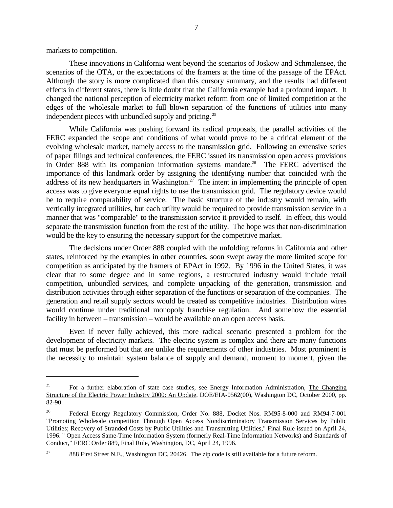markets to competition.

 $\overline{a}$ 

These innovations in California went beyond the scenarios of Joskow and Schmalensee, the scenarios of the OTA, or the expectations of the framers at the time of the passage of the EPAct. Although the story is more complicated than this cursory summary, and the results had different effects in different states, there is little doubt that the California example had a profound impact. It changed the national perception of electricity market reform from one of limited competition at the edges of the wholesale market to full blown separation of the functions of utilities into many independent pieces with unbundled supply and pricing.<sup>25</sup>

While California was pushing forward its radical proposals, the parallel activities of the FERC expanded the scope and conditions of what would prove to be a critical element of the evolving wholesale market, namely access to the transmission grid. Following an extensive series of paper filings and technical conferences, the FERC issued its transmission open access provisions in Order 888 with its companion information systems mandate.<sup>26</sup> The FERC advertised the importance of this landmark order by assigning the identifying number that coincided with the address of its new headquarters in Washington.<sup>27</sup> The intent in implementing the principle of open access was to give everyone equal rights to use the transmission grid. The regulatory device would be to require comparability of service. The basic structure of the industry would remain, with vertically integrated utilities, but each utility would be required to provide transmission service in a manner that was "comparable" to the transmission service it provided to itself. In effect, this would separate the transmission function from the rest of the utility. The hope was that non-discrimination would be the key to ensuring the necessary support for the competitive market.

The decisions under Order 888 coupled with the unfolding reforms in California and other states, reinforced by the examples in other countries, soon swept away the more limited scope for competition as anticipated by the framers of EPAct in 1992. By 1996 in the United States, it was clear that to some degree and in some regions, a restructured industry would include retail competition, unbundled services, and complete unpacking of the generation, transmission and distribution activities through either separation of the functions or separation of the companies. The generation and retail supply sectors would be treated as competitive industries. Distribution wires would continue under traditional monopoly franchise regulation. And somehow the essential facility in between – transmission – would be available on an open access basis.

Even if never fully achieved, this more radical scenario presented a problem for the development of electricity markets. The electric system is complex and there are many functions that must be performed but that are unlike the requirements of other industries. Most prominent is the necessity to maintain system balance of supply and demand, moment to moment, given the

<sup>&</sup>lt;sup>25</sup> For a further elaboration of state case studies, see Energy Information Administration, The Changing Structure of the Electric Power Industry 2000: An Update, DOE/EIA-0562(00), Washington DC, October 2000, pp. 82-90.

<sup>&</sup>lt;sup>26</sup> Federal Energy Regulatory Commission, Order No. 888, Docket Nos. RM95-8-000 and RM94-7-001 "Promoting Wholesale competition Through Open Access Nondiscriminatory Transmission Services by Public Utilities; Recovery of Stranded Costs by Public Utilities and Transmitting Utilities," Final Rule issued on April 24, 1996. " Open Access Same-Time Information System (formerly Real-Time Information Networks) and Standards of Conduct," FERC Order 889, Final Rule, Washington, DC, April 24, 1996.

<sup>&</sup>lt;sup>27</sup> 888 First Street N.E., Washington DC, 20426. The zip code is still available for a future reform.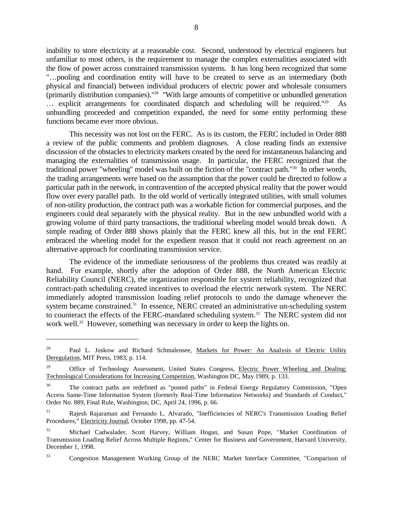inability to store electricity at a reasonable cost. Second, understood by electrical engineers but unfamiliar to most others, is the requirement to manage the complex externalities associated with the flow of power across constrained transmission systems. It has long been recognized that some "…pooling and coordination entity will have to be created to serve as an intermediary (both physical and financial) between individual producers of electric power and wholesale consumers (primarily distribution companies)."28 "With large amounts of competitive or unbundled generation … explicit arrangements for coordinated dispatch and scheduling will be required."29 As unbundling proceeded and competition expanded, the need for some entity performing these functions became ever more obvious.

This necessity was not lost on the FERC. As is its custom, the FERC included in Order 888 a review of the public comments and problem diagnoses. A close reading finds an extensive discussion of the obstacles to electricity markets created by the need for instantaneous balancing and managing the externalities of transmission usage. In particular, the FERC recognized that the traditional power "wheeling" model was built on the fiction of the "contract path."30 In other words, the trading arrangements were based on the assumption that the power could be directed to follow a particular path in the network, in contravention of the accepted physical reality that the power would flow over every parallel path. In the old world of vertically integrated utilities, with small volumes of non-utility production, the contract path was a workable fiction for commercial purposes, and the engineers could deal separately with the physical reality. But in the new unbundled world with a growing volume of third party transactions, the traditional wheeling model would break down. A simple reading of Order 888 shows plainly that the FERC knew all this, but in the end FERC embraced the wheeling model for the expedient reason that it could not reach agreement on an alternative approach for coordinating transmission service.

The evidence of the immediate seriousness of the problems thus created was readily at hand. For example, shortly after the adoption of Order 888, the North American Electric Reliability Council (NERC), the organization responsible for system reliability, recognized that contract-path scheduling created incentives to overload the electric network system. The NERC immediately adopted transmission loading relief protocols to undo the damage whenever the system became constrained.<sup>31</sup> In essence, NERC created an administrative un-scheduling system to counteract the effects of the FERC-mandated scheduling system.<sup>32</sup> The NERC system did not work well.<sup>33</sup> However, something was necessary in order to keep the lights on.

<sup>&</sup>lt;sup>28</sup> Paul L. Joskow and Richard Schmalensee, Markets for Power: An Analysis of Electric Utility Deregulation, MIT Press, 1983, p. 114.

<sup>&</sup>lt;sup>29</sup> Office of Technology Assessment, United States Congress, Electric Power Wheeling and Dealing: Technological Considerations for Increasing Competition, Washington DC, May 1989, p. 133.

The contract paths are redefined as "posted paths" in Federal Energy Regulatory Commission, "Open Access Same-Time Information System (formerly Real-Time Information Networks) and Standards of Conduct," Order No. 889, Final Rule, Washington, DC, April 24, 1996, p. 66.

<sup>31</sup> Rajesh Rajaraman and Fernando L. Alvarado, "Inefficiencies of NERC's Transmission Loading Relief Procedures," Electricity Journal, October 1998, pp. 47-54.

<sup>&</sup>lt;sup>32</sup> Michael Cadwalader, Scott Harvey, William Hogan, and Susan Pope, "Market Coordination of Transmission Loading Relief Across Multiple Regions," Center for Business and Government, Harvard University, December 1, 1998.

<sup>&</sup>lt;sup>33</sup> Congestion Management Working Group of the NERC Market Interface Committee, "Comparison of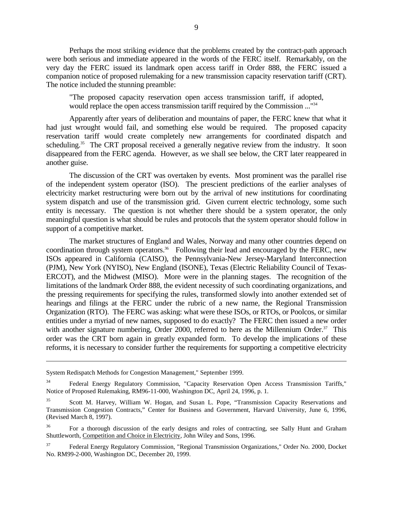Perhaps the most striking evidence that the problems created by the contract-path approach were both serious and immediate appeared in the words of the FERC itself. Remarkably, on the very day the FERC issued its landmark open access tariff in Order 888, the FERC issued a companion notice of proposed rulemaking for a new transmission capacity reservation tariff (CRT). The notice included the stunning preamble:

"The proposed capacity reservation open access transmission tariff, if adopted, would replace the open access transmission tariff required by the Commission ..."34

Apparently after years of deliberation and mountains of paper, the FERC knew that what it had just wrought would fail, and something else would be required. The proposed capacity reservation tariff would create completely new arrangements for coordinated dispatch and scheduling.<sup>35</sup> The CRT proposal received a generally negative review from the industry. It soon disappeared from the FERC agenda. However, as we shall see below, the CRT later reappeared in another guise.

The discussion of the CRT was overtaken by events. Most prominent was the parallel rise of the independent system operator (ISO). The prescient predictions of the earlier analyses of electricity market restructuring were born out by the arrival of new institutions for coordinating system dispatch and use of the transmission grid. Given current electric technology, some such entity is necessary. The question is not whether there should be a system operator, the only meaningful question is what should be rules and protocols that the system operator should follow in support of a competitive market.

The market structures of England and Wales, Norway and many other countries depend on coordination through system operators.<sup>36</sup> Following their lead and encouraged by the FERC, new ISOs appeared in California (CAISO), the Pennsylvania-New Jersey-Maryland Interconnection (PJM), New York (NYISO), New England (ISONE), Texas (Electric Reliability Council of Texas-ERCOT), and the Midwest (MISO). More were in the planning stages. The recognition of the limitations of the landmark Order 888, the evident necessity of such coordinating organizations, and the pressing requirements for specifying the rules, transformed slowly into another extended set of hearings and filings at the FERC under the rubric of a new name, the Regional Transmission Organization (RTO). The FERC was asking: what were these ISOs, or RTOs, or Poolcos, or similar entities under a myriad of new names, supposed to do exactly? The FERC then issued a new order with another signature numbering, Order 2000, referred to here as the Millennium Order. $37$  This order was the CRT born again in greatly expanded form. To develop the implications of these reforms, it is necessary to consider further the requirements for supporting a competitive electricity

System Redispatch Methods for Congestion Management," September 1999.

<sup>&</sup>lt;sup>34</sup> Federal Energy Regulatory Commission, "Capacity Reservation Open Access Transmission Tariffs," Notice of Proposed Rulemaking, RM96-11-000, Washington DC, April 24, 1996, p. 1.

<sup>35</sup> Scott M. Harvey, William W. Hogan, and Susan L. Pope, "Transmission Capacity Reservations and Transmission Congestion Contracts," Center for Business and Government, Harvard University, June 6, 1996, (Revised March 8, 1997).

<sup>36</sup> For a thorough discussion of the early designs and roles of contracting, see Sally Hunt and Graham Shuttleworth, Competition and Choice in Electricity, John Wiley and Sons, 1996.

<sup>37</sup> Federal Energy Regulatory Commission, "Regional Transmission Organizations," Order No. 2000, Docket No. RM99-2-000, Washington DC, December 20, 1999.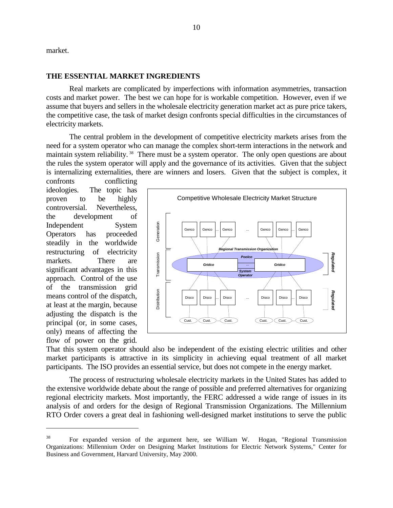market.

#### **THE ESSENTIAL MARKET INGREDIENTS**

Real markets are complicated by imperfections with information asymmetries, transaction costs and market power. The best we can hope for is workable competition. However, even if we assume that buyers and sellers in the wholesale electricity generation market act as pure price takers, the competitive case, the task of market design confronts special difficulties in the circumstances of electricity markets.

The central problem in the development of competitive electricity markets arises from the need for a system operator who can manage the complex short-term interactions in the network and maintain system reliability.<sup>38</sup> There must be a system operator. The only open questions are about the rules the system operator will apply and the governance of its activities. Given that the subject is internalizing externalities, there are winners and losers. Given that the subject is complex, it

confronts conflicting ideologies. The topic has proven to be highly controversial. Nevertheless, the development of Independent System Operators has proceeded steadily in the worldwide restructuring of electricity markets. There are significant advantages in this approach. Control of the use of the transmission grid means control of the dispatch, at least at the margin, because adjusting the dispatch is the principal (or, in some cases, only) means of affecting the flow of power on the grid.

 $\overline{a}$ 



That this system operator should also be independent of the existing electric utilities and other market participants is attractive in its simplicity in achieving equal treatment of all market participants. The ISO provides an essential service, but does not compete in the energy market.

The process of restructuring wholesale electricity markets in the United States has added to the extensive worldwide debate about the range of possible and preferred alternatives for organizing regional electricity markets. Most importantly, the FERC addressed a wide range of issues in its analysis of and orders for the design of Regional Transmission Organizations. The Millennium RTO Order covers a great deal in fashioning well-designed market institutions to serve the public

<sup>38</sup> For expanded version of the argument here, see William W. Hogan, "Regional Transmission Organizations: Millennium Order on Designing Market Institutions for Electric Network Systems," Center for Business and Government, Harvard University, May 2000.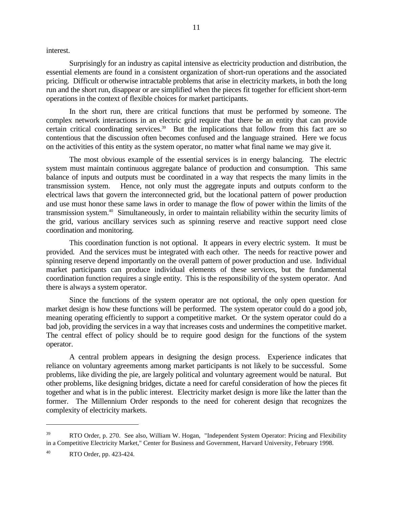interest.

Surprisingly for an industry as capital intensive as electricity production and distribution, the essential elements are found in a consistent organization of short-run operations and the associated pricing. Difficult or otherwise intractable problems that arise in electricity markets, in both the long run and the short run, disappear or are simplified when the pieces fit together for efficient short-term operations in the context of flexible choices for market participants.

In the short run, there are critical functions that must be performed by someone. The complex network interactions in an electric grid require that there be an entity that can provide certain critical coordinating services.<sup>39</sup> But the implications that follow from this fact are so contentious that the discussion often becomes confused and the language strained. Here we focus on the activities of this entity as the system operator, no matter what final name we may give it.

The most obvious example of the essential services is in energy balancing. The electric system must maintain continuous aggregate balance of production and consumption. This same balance of inputs and outputs must be coordinated in a way that respects the many limits in the transmission system. Hence, not only must the aggregate inputs and outputs conform to the electrical laws that govern the interconnected grid, but the locational pattern of power production and use must honor these same laws in order to manage the flow of power within the limits of the transmission system.40 Simultaneously, in order to maintain reliability within the security limits of the grid, various ancillary services such as spinning reserve and reactive support need close coordination and monitoring.

This coordination function is not optional. It appears in every electric system. It must be provided. And the services must be integrated with each other. The needs for reactive power and spinning reserve depend importantly on the overall pattern of power production and use. Individual market participants can produce individual elements of these services, but the fundamental coordination function requires a single entity. This is the responsibility of the system operator. And there is always a system operator.

Since the functions of the system operator are not optional, the only open question for market design is how these functions will be performed. The system operator could do a good job, meaning operating efficiently to support a competitive market. Or the system operator could do a bad job, providing the services in a way that increases costs and undermines the competitive market. The central effect of policy should be to require good design for the functions of the system operator.

A central problem appears in designing the design process. Experience indicates that reliance on voluntary agreements among market participants is not likely to be successful. Some problems, like dividing the pie, are largely political and voluntary agreement would be natural. But other problems, like designing bridges, dictate a need for careful consideration of how the pieces fit together and what is in the public interest. Electricity market design is more like the latter than the former. The Millennium Order responds to the need for coherent design that recognizes the complexity of electricity markets.

<sup>&</sup>lt;sup>39</sup> RTO Order, p. 270. See also, William W. Hogan, "Independent System Operator: Pricing and Flexibility in a Competitive Electricity Market," Center for Business and Government, Harvard University, February 1998.

<sup>40</sup> RTO Order, pp. 423-424.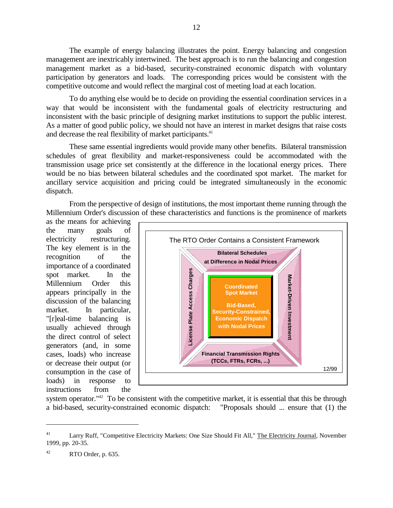The example of energy balancing illustrates the point. Energy balancing and congestion management are inextricably intertwined. The best approach is to run the balancing and congestion management market as a bid-based, security-constrained economic dispatch with voluntary participation by generators and loads. The corresponding prices would be consistent with the competitive outcome and would reflect the marginal cost of meeting load at each location.

To do anything else would be to decide on providing the essential coordination services in a way that would be inconsistent with the fundamental goals of electricity restructuring and inconsistent with the basic principle of designing market institutions to support the public interest. As a matter of good public policy, we should not have an interest in market designs that raise costs and decrease the real flexibility of market participants.<sup>41</sup>

These same essential ingredients would provide many other benefits. Bilateral transmission schedules of great flexibility and market-responsiveness could be accommodated with the transmission usage price set consistently at the difference in the locational energy prices. There would be no bias between bilateral schedules and the coordinated spot market. The market for ancillary service acquisition and pricing could be integrated simultaneously in the economic dispatch.

From the perspective of design of institutions, the most important theme running through the Millennium Order's discussion of these characteristics and functions is the prominence of markets

as the means for achieving the many goals of electricity restructuring. The key element is in the recognition of the importance of a coordinated spot market. In the Millennium Order this appears principally in the discussion of the balancing market. In particular, "[r]eal-time balancing is usually achieved through the direct control of select generators (and, in some cases, loads) who increase or decrease their output (or consumption in the case of loads) in response to instructions from the



system operator."<sup>42</sup> To be consistent with the competitive market, it is essential that this be through a bid-based, security-constrained economic dispatch: "Proposals should ... ensure that (1) the

<sup>&</sup>lt;sup>41</sup> Larry Ruff, "Competitive Electricity Markets: One Size Should Fit All," The Electricity Journal, November 1999, pp. 20-35.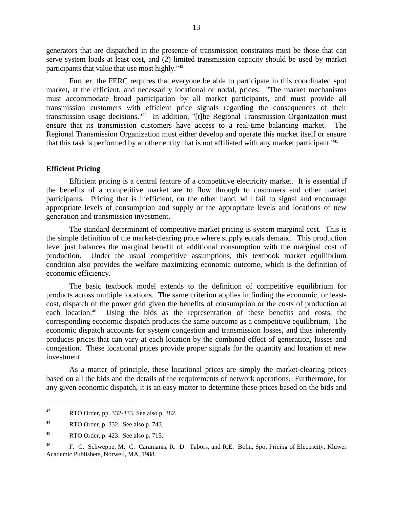generators that are dispatched in the presence of transmission constraints must be those that can serve system loads at least cost, and (2) limited transmission capacity should be used by market participants that value that use most highly."43

Further, the FERC requires that everyone be able to participate in this coordinated spot market, at the efficient, and necessarily locational or nodal, prices: "The market mechanisms must accommodate broad participation by all market participants, and must provide all transmission customers with efficient price signals regarding the consequences of their transmission usage decisions."44 In addition, "[t]he Regional Transmission Organization must ensure that its transmission customers have access to a real-time balancing market. The Regional Transmission Organization must either develop and operate this market itself or ensure that this task is performed by another entity that is not affiliated with any market participant."45

#### **Efficient Pricing**

Efficient pricing is a central feature of a competitive electricity market. It is essential if the benefits of a competitive market are to flow through to customers and other market participants. Pricing that is inefficient, on the other hand, will fail to signal and encourage appropriate levels of consumption and supply or the appropriate levels and locations of new generation and transmission investment.

The standard determinant of competitive market pricing is system marginal cost. This is the simple definition of the market-clearing price where supply equals demand. This production level just balances the marginal benefit of additional consumption with the marginal cost of production. Under the usual competitive assumptions, this textbook market equilibrium condition also provides the welfare maximizing economic outcome, which is the definition of economic efficiency.

The basic textbook model extends to the definition of competitive equilibrium for products across multiple locations. The same criterion applies in finding the economic, or leastcost, dispatch of the power grid given the benefits of consumption or the costs of production at each location.<sup>46</sup> Using the bids as the representation of these benefits and costs, the corresponding economic dispatch produces the same outcome as a competitive equilibrium. The economic dispatch accounts for system congestion and transmission losses, and thus inherently produces prices that can vary at each location by the combined effect of generation, losses and congestion. These locational prices provide proper signals for the quantity and location of new investment.

As a matter of principle, these locational prices are simply the market-clearing prices based on all the bids and the details of the requirements of network operations. Furthermore, for any given economic dispatch, it is an easy matter to determine these prices based on the bids and

<sup>43</sup> RTO Order, pp. 332-333. See also p. 382.

<sup>44</sup> RTO Order, p. 332. See also p. 743.

<sup>45</sup> RTO Order, p. 423. See also p. 715.

<sup>46</sup> F. C. Schweppe, M. C. Caramanis, R. D. Tabors, and R.E. Bohn, Spot Pricing of Electricity, Kluwer Academic Publishers, Norwell, MA, 1988.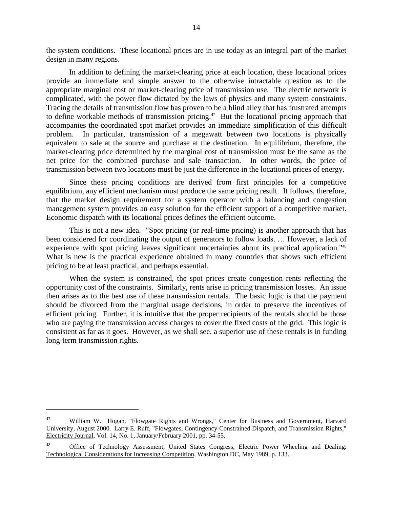the system conditions. These locational prices are in use today as an integral part of the market design in many regions.

In addition to defining the market-clearing price at each location, these locational prices provide an immediate and simple answer to the otherwise intractable question as to the appropriate marginal cost or market-clearing price of transmission use. The electric network is complicated, with the power flow dictated by the laws of physics and many system constraints. Tracing the details of transmission flow has proven to be a blind alley that has frustrated attempts to define workable methods of transmission pricing.<sup>47</sup> But the locational pricing approach that accompanies the coordinated spot market provides an immediate simplification of this difficult problem. In particular, transmission of a megawatt between two locations is physically equivalent to sale at the source and purchase at the destination. In equilibrium, therefore, the market-clearing price determined by the marginal cost of transmission must be the same as the net price for the combined purchase and sale transaction. In other words, the price of transmission between two locations must be just the difference in the locational prices of energy.

Since these pricing conditions are derived from first principles for a competitive equilibrium, any efficient mechanism must produce the same pricing result. It follows, therefore, that the market design requirement for a system operator with a balancing and congestion management system provides an easy solution for the efficient support of a competitive market. Economic dispatch with its locational prices defines the efficient outcome.

This is not a new idea. "Spot pricing (or real-time pricing) is another approach that has been considered for coordinating the output of generators to follow loads. … However, a lack of experience with spot pricing leaves significant uncertainties about its practical application."48 What is new is the practical experience obtained in many countries that shows such efficient pricing to be at least practical, and perhaps essential.

When the system is constrained, the spot prices create congestion rents reflecting the opportunity cost of the constraints. Similarly, rents arise in pricing transmission losses. An issue then arises as to the best use of these transmission rentals. The basic logic is that the payment should be divorced from the marginal usage decisions, in order to preserve the incentives of efficient pricing. Further, it is intuitive that the proper recipients of the rentals should be those who are paying the transmission access charges to cover the fixed costs of the grid. This logic is consistent as far as it goes. However, as we shall see, a superior use of these rentals is in funding long-term transmission rights.

<sup>&</sup>lt;sup>47</sup> William W. Hogan, "Flowgate Rights and Wrongs," Center for Business and Government, Harvard University, August 2000. Larry E. Ruff, "Flowgates, Contingency-Constrained Dispatch, and Transmission Rights," Electricity Journal, Vol. 14, No. 1, January/February 2001, pp. 34-55.

<sup>&</sup>lt;sup>48</sup> Office of Technology Assessment, United States Congress, Electric Power Wheeling and Dealing: Technological Considerations for Increasing Competition, Washington DC, May 1989, p. 133.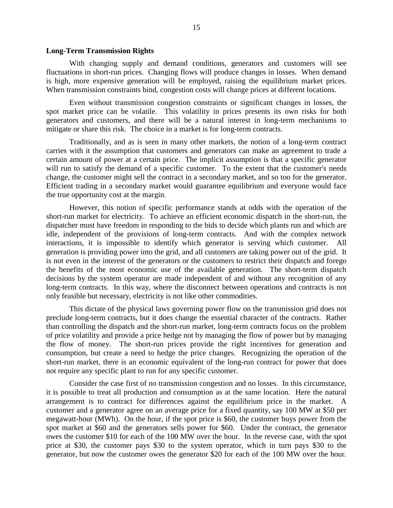#### **Long-Term Transmission Rights**

With changing supply and demand conditions, generators and customers will see fluctuations in short-run prices. Changing flows will produce changes in losses. When demand is high, more expensive generation will be employed, raising the equilibrium market prices. When transmission constraints bind, congestion costs will change prices at different locations.

Even without transmission congestion constraints or significant changes in losses, the spot market price can be volatile. This volatility in prices presents its own risks for both generators and customers, and there will be a natural interest in long-term mechanisms to mitigate or share this risk. The choice in a market is for long-term contracts.

Traditionally, and as is seen in many other markets, the notion of a long-term contract carries with it the assumption that customers and generators can make an agreement to trade a certain amount of power at a certain price. The implicit assumption is that a specific generator will run to satisfy the demand of a specific customer. To the extent that the customer's needs change, the customer might sell the contract in a secondary market, and so too for the generator. Efficient trading in a secondary market would guarantee equilibrium and everyone would face the true opportunity cost at the margin.

However, this notion of specific performance stands at odds with the operation of the short-run market for electricity. To achieve an efficient economic dispatch in the short-run, the dispatcher must have freedom in responding to the bids to decide which plants run and which are idle, independent of the provisions of long-term contracts. And with the complex network interactions, it is impossible to identify which generator is serving which customer. All generation is providing power into the grid, and all customers are taking power out of the grid. It is not even in the interest of the generators or the customers to restrict their dispatch and forego the benefits of the most economic use of the available generation. The short-term dispatch decisions by the system operator are made independent of and without any recognition of any long-term contracts. In this way, where the disconnect between operations and contracts is not only feasible but necessary, electricity is not like other commodities.

This dictate of the physical laws governing power flow on the transmission grid does not preclude long-term contracts, but it does change the essential character of the contracts. Rather than controlling the dispatch and the short-run market, long-term contracts focus on the problem of price volatility and provide a price hedge not by managing the flow of power but by managing the flow of money. The short-run prices provide the right incentives for generation and consumption, but create a need to hedge the price changes. Recognizing the operation of the short-run market, there is an economic equivalent of the long-run contract for power that does not require any specific plant to run for any specific customer.

Consider the case first of no transmission congestion and no losses. In this circumstance, it is possible to treat all production and consumption as at the same location. Here the natural arrangement is to contract for differences against the equilibrium price in the market. A customer and a generator agree on an average price for a fixed quantity, say 100 MW at \$50 per megawatt-hour (MWh). On the hour, if the spot price is \$60, the customer buys power from the spot market at \$60 and the generators sells power for \$60. Under the contract, the generator owes the customer \$10 for each of the 100 MW over the hour. In the reverse case, with the spot price at \$30, the customer pays \$30 to the system operator, which in turn pays \$30 to the generator, but now the customer owes the generator \$20 for each of the 100 MW over the hour.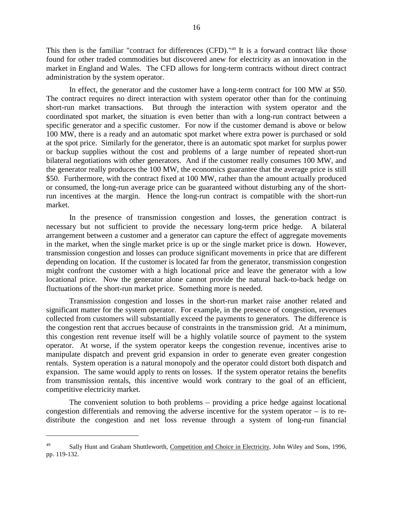This then is the familiar "contract for differences (CFD)."<sup>49</sup> It is a forward contract like those found for other traded commodities but discovered anew for electricity as an innovation in the market in England and Wales. The CFD allows for long-term contracts without direct contract administration by the system operator.

In effect, the generator and the customer have a long-term contract for 100 MW at \$50. The contract requires no direct interaction with system operator other than for the continuing short-run market transactions. But through the interaction with system operator and the coordinated spot market, the situation is even better than with a long-run contract between a specific generator and a specific customer. For now if the customer demand is above or below 100 MW, there is a ready and an automatic spot market where extra power is purchased or sold at the spot price. Similarly for the generator, there is an automatic spot market for surplus power or backup supplies without the cost and problems of a large number of repeated short-run bilateral negotiations with other generators. And if the customer really consumes 100 MW, and the generator really produces the 100 MW, the economics guarantee that the average price is still \$50. Furthermore, with the contract fixed at 100 MW, rather than the amount actually produced or consumed, the long-run average price can be guaranteed without disturbing any of the shortrun incentives at the margin. Hence the long-run contract is compatible with the short-run market.

In the presence of transmission congestion and losses, the generation contract is necessary but not sufficient to provide the necessary long-term price hedge. A bilateral arrangement between a customer and a generator can capture the effect of aggregate movements in the market, when the single market price is up or the single market price is down. However, transmission congestion and losses can produce significant movements in price that are different depending on location. If the customer is located far from the generator, transmission congestion might confront the customer with a high locational price and leave the generator with a low locational price. Now the generator alone cannot provide the natural back-to-back hedge on fluctuations of the short-run market price. Something more is needed.

Transmission congestion and losses in the short-run market raise another related and significant matter for the system operator. For example, in the presence of congestion, revenues collected from customers will substantially exceed the payments to generators. The difference is the congestion rent that accrues because of constraints in the transmission grid. At a minimum, this congestion rent revenue itself will be a highly volatile source of payment to the system operator. At worse, if the system operator keeps the congestion revenue, incentives arise to manipulate dispatch and prevent grid expansion in order to generate even greater congestion rentals. System operation is a natural monopoly and the operator could distort both dispatch and expansion. The same would apply to rents on losses. If the system operator retains the benefits from transmission rentals, this incentive would work contrary to the goal of an efficient, competitive electricity market.

The convenient solution to both problems – providing a price hedge against locational congestion differentials and removing the adverse incentive for the system operator – is to redistribute the congestion and net loss revenue through a system of long-run financial

<sup>49</sup> Sally Hunt and Graham Shuttleworth, Competition and Choice in Electricity, John Wiley and Sons, 1996, pp. 119-132.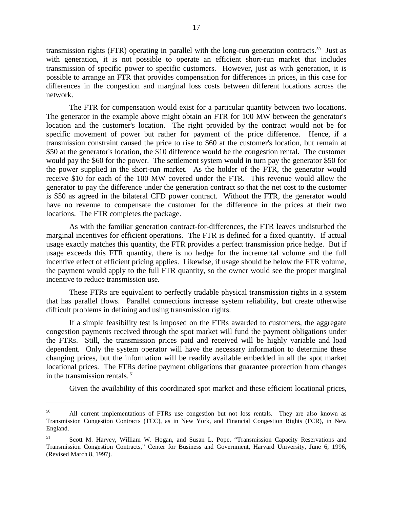transmission rights (FTR) operating in parallel with the long-run generation contracts.<sup>50</sup> Just as with generation, it is not possible to operate an efficient short-run market that includes transmission of specific power to specific customers. However, just as with generation, it is possible to arrange an FTR that provides compensation for differences in prices, in this case for differences in the congestion and marginal loss costs between different locations across the network.

The FTR for compensation would exist for a particular quantity between two locations. The generator in the example above might obtain an FTR for 100 MW between the generator's location and the customer's location. The right provided by the contract would not be for specific movement of power but rather for payment of the price difference. Hence, if a transmission constraint caused the price to rise to \$60 at the customer's location, but remain at \$50 at the generator's location, the \$10 difference would be the congestion rental. The customer would pay the \$60 for the power. The settlement system would in turn pay the generator \$50 for the power supplied in the short-run market. As the holder of the FTR, the generator would receive \$10 for each of the 100 MW covered under the FTR. This revenue would allow the generator to pay the difference under the generation contract so that the net cost to the customer is \$50 as agreed in the bilateral CFD power contract. Without the FTR, the generator would have no revenue to compensate the customer for the difference in the prices at their two locations. The FTR completes the package.

As with the familiar generation contract-for-differences, the FTR leaves undisturbed the marginal incentives for efficient operations. The FTR is defined for a fixed quantity. If actual usage exactly matches this quantity, the FTR provides a perfect transmission price hedge. But if usage exceeds this FTR quantity, there is no hedge for the incremental volume and the full incentive effect of efficient pricing applies. Likewise, if usage should be below the FTR volume, the payment would apply to the full FTR quantity, so the owner would see the proper marginal incentive to reduce transmission use.

These FTRs are equivalent to perfectly tradable physical transmission rights in a system that has parallel flows. Parallel connections increase system reliability, but create otherwise difficult problems in defining and using transmission rights.

If a simple feasibility test is imposed on the FTRs awarded to customers, the aggregate congestion payments received through the spot market will fund the payment obligations under the FTRs. Still, the transmission prices paid and received will be highly variable and load dependent. Only the system operator will have the necessary information to determine these changing prices, but the information will be readily available embedded in all the spot market locational prices. The FTRs define payment obligations that guarantee protection from changes in the transmission rentals. 51

Given the availability of this coordinated spot market and these efficient locational prices,

<sup>&</sup>lt;sup>50</sup> All current implementations of FTRs use congestion but not loss rentals. They are also known as Transmission Congestion Contracts (TCC), as in New York, and Financial Congestion Rights (FCR), in New England.

<sup>51</sup> Scott M. Harvey, William W. Hogan, and Susan L. Pope, "Transmission Capacity Reservations and Transmission Congestion Contracts," Center for Business and Government, Harvard University, June 6, 1996, (Revised March 8, 1997).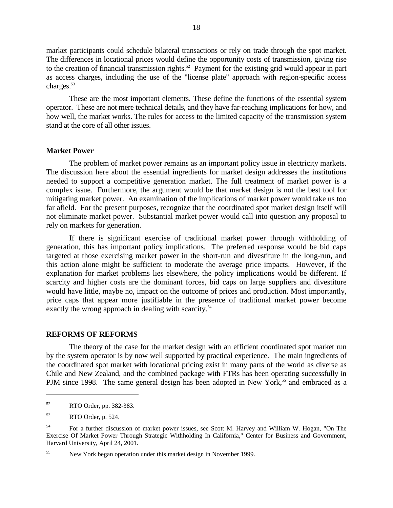market participants could schedule bilateral transactions or rely on trade through the spot market. The differences in locational prices would define the opportunity costs of transmission, giving rise to the creation of financial transmission rights.<sup>52</sup> Payment for the existing grid would appear in part as access charges, including the use of the "license plate" approach with region-specific access charges.<sup>53</sup>

These are the most important elements. These define the functions of the essential system operator. These are not mere technical details, and they have far-reaching implications for how, and how well, the market works. The rules for access to the limited capacity of the transmission system stand at the core of all other issues.

#### **Market Power**

The problem of market power remains as an important policy issue in electricity markets. The discussion here about the essential ingredients for market design addresses the institutions needed to support a competitive generation market. The full treatment of market power is a complex issue. Furthermore, the argument would be that market design is not the best tool for mitigating market power. An examination of the implications of market power would take us too far afield. For the present purposes, recognize that the coordinated spot market design itself will not eliminate market power. Substantial market power would call into question any proposal to rely on markets for generation.

If there is significant exercise of traditional market power through withholding of generation, this has important policy implications. The preferred response would be bid caps targeted at those exercising market power in the short-run and divestiture in the long-run, and this action alone might be sufficient to moderate the average price impacts. However, if the explanation for market problems lies elsewhere, the policy implications would be different. If scarcity and higher costs are the dominant forces, bid caps on large suppliers and divestiture would have little, maybe no, impact on the outcome of prices and production. Most importantly, price caps that appear more justifiable in the presence of traditional market power become exactly the wrong approach in dealing with scarcity.<sup>54</sup>

#### **REFORMS OF REFORMS**

The theory of the case for the market design with an efficient coordinated spot market run by the system operator is by now well supported by practical experience. The main ingredients of the coordinated spot market with locational pricing exist in many parts of the world as diverse as Chile and New Zealand, and the combined package with FTRs has been operating successfully in PJM since 1998. The same general design has been adopted in New York,<sup>55</sup> and embraced as a

<sup>52</sup> RTO Order, pp. 382-383.

<sup>53</sup> RTO Order, p. 524.

<sup>54</sup> For a further discussion of market power issues, see Scott M. Harvey and William W. Hogan, "On The Exercise Of Market Power Through Strategic Withholding In California," Center for Business and Government, Harvard University, April 24, 2001.

<sup>55</sup> New York began operation under this market design in November 1999.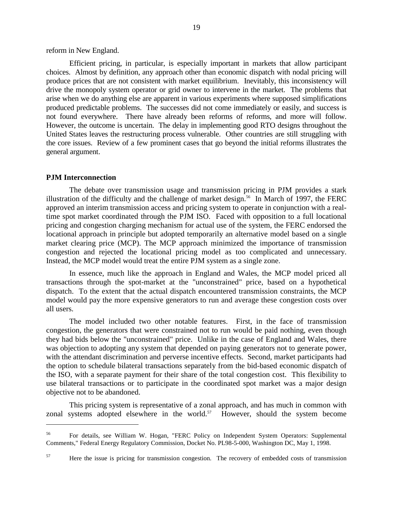Efficient pricing, in particular, is especially important in markets that allow participant choices. Almost by definition, any approach other than economic dispatch with nodal pricing will produce prices that are not consistent with market equilibrium. Inevitably, this inconsistency will drive the monopoly system operator or grid owner to intervene in the market. The problems that arise when we do anything else are apparent in various experiments where supposed simplifications produced predictable problems. The successes did not come immediately or easily, and success is not found everywhere. There have already been reforms of reforms, and more will follow. However, the outcome is uncertain. The delay in implementing good RTO designs throughout the United States leaves the restructuring process vulnerable. Other countries are still struggling with the core issues. Review of a few prominent cases that go beyond the initial reforms illustrates the general argument.

#### **PJM Interconnection**

 $\overline{a}$ 

The debate over transmission usage and transmission pricing in PJM provides a stark illustration of the difficulty and the challenge of market design.<sup>56</sup> In March of 1997, the FERC approved an interim transmission access and pricing system to operate in conjunction with a realtime spot market coordinated through the PJM ISO. Faced with opposition to a full locational pricing and congestion charging mechanism for actual use of the system, the FERC endorsed the locational approach in principle but adopted temporarily an alternative model based on a single market clearing price (MCP). The MCP approach minimized the importance of transmission congestion and rejected the locational pricing model as too complicated and unnecessary. Instead, the MCP model would treat the entire PJM system as a single zone.

In essence, much like the approach in England and Wales, the MCP model priced all transactions through the spot-market at the "unconstrained" price, based on a hypothetical dispatch. To the extent that the actual dispatch encountered transmission constraints, the MCP model would pay the more expensive generators to run and average these congestion costs over all users.

The model included two other notable features. First, in the face of transmission congestion, the generators that were constrained not to run would be paid nothing, even though they had bids below the "unconstrained" price. Unlike in the case of England and Wales, there was objection to adopting any system that depended on paying generators not to generate power, with the attendant discrimination and perverse incentive effects. Second, market participants had the option to schedule bilateral transactions separately from the bid-based economic dispatch of the ISO, with a separate payment for their share of the total congestion cost. This flexibility to use bilateral transactions or to participate in the coordinated spot market was a major design objective not to be abandoned.

This pricing system is representative of a zonal approach, and has much in common with zonal systems adopted elsewhere in the world. $57$  However, should the system become

<sup>&</sup>lt;sup>56</sup> For details, see William W. Hogan, "FERC Policy on Independent System Operators: Supplemental Comments," Federal Energy Regulatory Commission, Docket No. PL98-5-000, Washington DC, May 1, 1998.

<sup>&</sup>lt;sup>57</sup> Here the issue is pricing for transmission congestion. The recovery of embedded costs of transmission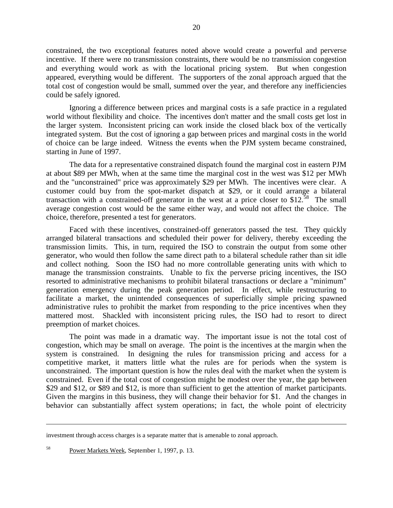constrained, the two exceptional features noted above would create a powerful and perverse incentive. If there were no transmission constraints, there would be no transmission congestion and everything would work as with the locational pricing system. But when congestion appeared, everything would be different. The supporters of the zonal approach argued that the total cost of congestion would be small, summed over the year, and therefore any inefficiencies could be safely ignored.

Ignoring a difference between prices and marginal costs is a safe practice in a regulated world without flexibility and choice. The incentives don't matter and the small costs get lost in the larger system. Inconsistent pricing can work inside the closed black box of the vertically integrated system. But the cost of ignoring a gap between prices and marginal costs in the world of choice can be large indeed. Witness the events when the PJM system became constrained, starting in June of 1997.

The data for a representative constrained dispatch found the marginal cost in eastern PJM at about \$89 per MWh, when at the same time the marginal cost in the west was \$12 per MWh and the "unconstrained" price was approximately \$29 per MWh. The incentives were clear. A customer could buy from the spot-market dispatch at \$29, or it could arrange a bilateral transaction with a constrained-off generator in the west at a price closer to \$12.<sup>58</sup> The small average congestion cost would be the same either way, and would not affect the choice. The choice, therefore, presented a test for generators.

Faced with these incentives, constrained-off generators passed the test. They quickly arranged bilateral transactions and scheduled their power for delivery, thereby exceeding the transmission limits. This, in turn, required the ISO to constrain the output from some other generator, who would then follow the same direct path to a bilateral schedule rather than sit idle and collect nothing. Soon the ISO had no more controllable generating units with which to manage the transmission constraints. Unable to fix the perverse pricing incentives, the ISO resorted to administrative mechanisms to prohibit bilateral transactions or declare a "minimum" generation emergency during the peak generation period. In effect, while restructuring to facilitate a market, the unintended consequences of superficially simple pricing spawned administrative rules to prohibit the market from responding to the price incentives when they mattered most. Shackled with inconsistent pricing rules, the ISO had to resort to direct preemption of market choices.

The point was made in a dramatic way. The important issue is not the total cost of congestion, which may be small on average. The point is the incentives at the margin when the system is constrained. In designing the rules for transmission pricing and access for a competitive market, it matters little what the rules are for periods when the system is unconstrained. The important question is how the rules deal with the market when the system is constrained. Even if the total cost of congestion might be modest over the year, the gap between \$29 and \$12, or \$89 and \$12, is more than sufficient to get the attention of market participants. Given the margins in this business, they will change their behavior for \$1. And the changes in behavior can substantially affect system operations; in fact, the whole point of electricity

investment through access charges is a separate matter that is amenable to zonal approach.

<sup>58</sup> Power Markets Week, September 1, 1997, p. 13.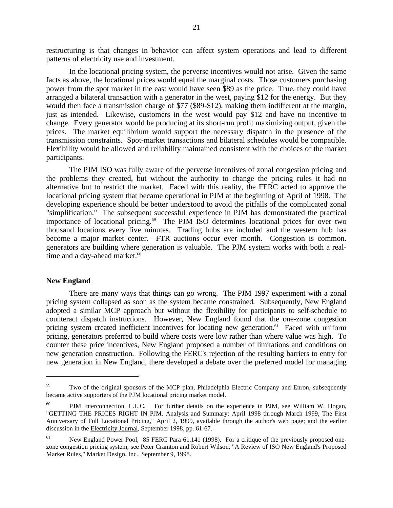restructuring is that changes in behavior can affect system operations and lead to different patterns of electricity use and investment.

In the locational pricing system, the perverse incentives would not arise. Given the same facts as above, the locational prices would equal the marginal costs. Those customers purchasing power from the spot market in the east would have seen \$89 as the price. True, they could have arranged a bilateral transaction with a generator in the west, paying \$12 for the energy. But they would then face a transmission charge of \$77 (\$89-\$12), making them indifferent at the margin, just as intended. Likewise, customers in the west would pay \$12 and have no incentive to change. Every generator would be producing at its short-run profit maximizing output, given the prices. The market equilibrium would support the necessary dispatch in the presence of the transmission constraints. Spot-market transactions and bilateral schedules would be compatible. Flexibility would be allowed and reliability maintained consistent with the choices of the market participants.

The PJM ISO was fully aware of the perverse incentives of zonal congestion pricing and the problems they created, but without the authority to change the pricing rules it had no alternative but to restrict the market. Faced with this reality, the FERC acted to approve the locational pricing system that became operational in PJM at the beginning of April of 1998. The developing experience should be better understood to avoid the pitfalls of the complicated zonal "simplification." The subsequent successful experience in PJM has demonstrated the practical importance of locational pricing.<sup>59</sup> The PJM ISO determines locational prices for over two thousand locations every five minutes. Trading hubs are included and the western hub has become a major market center. FTR auctions occur ever month. Congestion is common. generators are building where generation is valuable. The PJM system works with both a realtime and a day-ahead market.<sup>60</sup>

#### **New England**

 $\overline{a}$ 

There are many ways that things can go wrong. The PJM 1997 experiment with a zonal pricing system collapsed as soon as the system became constrained. Subsequently, New England adopted a similar MCP approach but without the flexibility for participants to self-schedule to counteract dispatch instructions. However, New England found that the one-zone congestion pricing system created inefficient incentives for locating new generation.<sup>61</sup> Faced with uniform pricing, generators preferred to build where costs were low rather than where value was high. To counter these price incentives, New England proposed a number of limitations and conditions on new generation construction. Following the FERC's rejection of the resulting barriers to entry for new generation in New England, there developed a debate over the preferred model for managing

<sup>59</sup> Two of the original sponsors of the MCP plan, Philadelphia Electric Company and Enron, subsequently became active supporters of the PJM locational pricing market model.

<sup>&</sup>lt;sup>60</sup> PJM Interconnection. L.L.C. For further details on the experience in PJM, see William W. Hogan, "GETTING THE PRICES RIGHT IN PJM. Analysis and Summary: April 1998 through March 1999, The First Anniversary of Full Locational Pricing," April 2, 1999, available through the author's web page; and the earlier discussion in the Electricity Journal, September 1998, pp. 61-67.

<sup>&</sup>lt;sup>61</sup> New England Power Pool, 85 FERC Para 61,141 (1998). For a critique of the previously proposed onezone congestion pricing system, see Peter Cramton and Robert Wilson, "A Review of ISO New England's Proposed Market Rules," Market Design, Inc., September 9, 1998.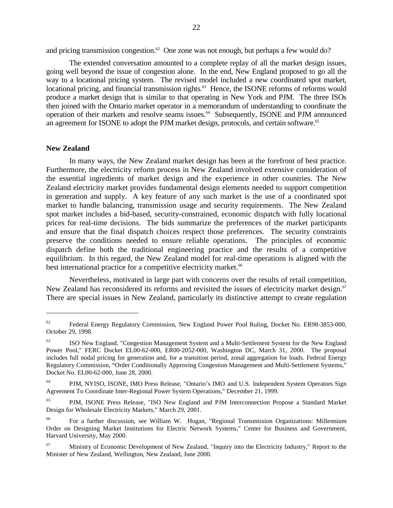and pricing transmission congestion.<sup>62</sup> One zone was not enough, but perhaps a few would do?

The extended conversation amounted to a complete replay of all the market design issues, going well beyond the issue of congestion alone. In the end, New England proposed to go all the way to a locational pricing system. The revised model included a new coordinated spot market, locational pricing, and financial transmission rights.<sup>63</sup> Hence, the ISONE reforms of reforms would produce a market design that is similar to that operating in New York and PJM. The three ISOs then joined with the Ontario market operator in a memorandum of understanding to coordinate the operation of their markets and resolve seams issues.<sup>64</sup> Subsequently, ISONE and PJM announced an agreement for ISONE to adopt the PJM market design, protocols, and certain software.<sup>65</sup>

#### **New Zealand**

 $\overline{a}$ 

In many ways, the New Zealand market design has been at the forefront of best practice. Furthermore, the electricity reform process in New Zealand involved extensive consideration of the essential ingredients of market design and the experience in other countries. The New Zealand electricity market provides fundamental design elements needed to support competition in generation and supply. A key feature of any such market is the use of a coordinated spot market to handle balancing, transmission usage and security requirements. The New Zealand spot market includes a bid-based, security-constrained, economic dispatch with fully locational prices for real-time decisions. The bids summarize the preferences of the market participants and ensure that the final dispatch choices respect those preferences. The security constraints preserve the conditions needed to ensure reliable operations. The principles of economic dispatch define both the traditional engineering practice and the results of a competitive equilibrium. In this regard, the New Zealand model for real-time operations is aligned with the best international practice for a competitive electricity market.<sup>66</sup>

Nevertheless, motivated in large part with concerns over the results of retail competition, New Zealand has reconsidered its reforms and revisited the issues of electricity market design.<sup>67</sup> There are special issues in New Zealand, particularly its distinctive attempt to create regulation

<sup>&</sup>lt;sup>62</sup> Federal Energy Regulatory Commission, New England Power Pool Ruling, Docket No. ER98-3853-000, October 29, 1998.

<sup>&</sup>lt;sup>63</sup> ISO New England, "Congestion Management System and a Multi-Settlement System for the New England Power Pool," FERC Docket EL00-62-000, ER00-2052-000, Washington DC, March 31, 2000. The proposal includes full nodal pricing for generation and, for a transition period, zonal aggregation for loads. Federal Energy Regulatory Commission, "Order Conditionally Approving Congestion Management and Multi-Settlement Systems," Docket No. EL00-62-000, June 28, 2000.

<sup>&</sup>lt;sup>64</sup> PJM, NYISO, ISONE, IMO Press Release, "Ontario's IMO and U.S. Independent System Operators Sign Agreement To Coordinate Inter-Regional Power System Operations," December 21, 1999.

<sup>&</sup>lt;sup>65</sup> PJM, ISONE Press Release, "ISO New England and PJM Interconnection Propose a Standard Market Design for Wholesale Electricity Markets," March 29, 2001.

<sup>66</sup> For a further discussion, see William W. Hogan, "Regional Transmission Organizations: Millennium Order on Designing Market Institutions for Electric Network Systems," Center for Business and Government, Harvard University, May 2000.

<sup>&</sup>lt;sup>67</sup> Ministry of Economic Development of New Zealand, "Inquiry into the Electricity Industry," Report to the Minister of New Zealand, Wellington, New Zealand, June 2000.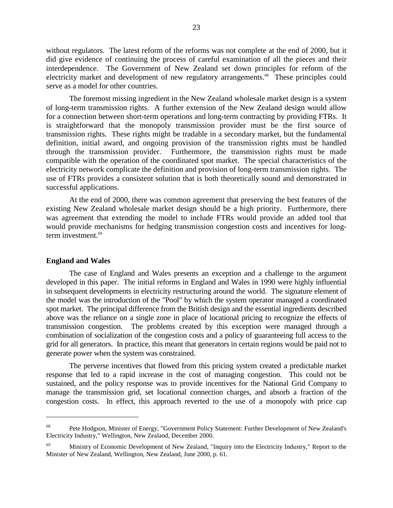without regulators. The latest reform of the reforms was not complete at the end of 2000, but it did give evidence of continuing the process of careful examination of all the pieces and their interdependence. The Government of New Zealand set down principles for reform of the electricity market and development of new regulatory arrangements.<sup>68</sup> These principles could serve as a model for other countries.

The foremost missing ingredient in the New Zealand wholesale market design is a system of long-term transmission rights. A further extension of the New Zealand design would allow for a connection between short-term operations and long-term contracting by providing FTRs. It is straightforward that the monopoly transmission provider must be the first source of transmission rights. These rights might be tradable in a secondary market, but the fundamental definition, initial award, and ongoing provision of the transmission rights must be handled through the transmission provider. Furthermore, the transmission rights must be made compatible with the operation of the coordinated spot market. The special characteristics of the electricity network complicate the definition and provision of long-term transmission rights. The use of FTRs provides a consistent solution that is both theoretically sound and demonstrated in successful applications.

At the end of 2000, there was common agreement that preserving the best features of the existing New Zealand wholesale market design should be a high priority. Furthermore, there was agreement that extending the model to include FTRs would provide an added tool that would provide mechanisms for hedging transmission congestion costs and incentives for longterm investment.<sup>69</sup>

#### **England and Wales**

 $\overline{a}$ 

The case of England and Wales presents an exception and a challenge to the argument developed in this paper. The initial reforms in England and Wales in 1990 were highly influential in subsequent developments in electricity restructuring around the world. The signature element of the model was the introduction of the "Pool" by which the system operator managed a coordinated spot market. The principal difference from the British design and the essential ingredients described above was the reliance on a single zone in place of locational pricing to recognize the effects of transmission congestion. The problems created by this exception were managed through a combination of socialization of the congestion costs and a policy of guaranteeing full access to the grid for all generators. In practice, this meant that generators in certain regions would be paid not to generate power when the system was constrained.

The perverse incentives that flowed from this pricing system created a predictable market response that led to a rapid increase in the cost of managing congestion. This could not be sustained, and the policy response was to provide incentives for the National Grid Company to manage the transmission grid, set locational connection charges, and absorb a fraction of the congestion costs. In effect, this approach reverted to the use of a monopoly with price cap

<sup>68</sup> Pete Hodgson, Minister of Energy, "Government Policy Statement: Further Development of New Zealand's Electricity Industry," Wellington, New Zealand, December 2000.

<sup>&</sup>lt;sup>69</sup> Ministry of Economic Development of New Zealand, "Inquiry into the Electricity Industry," Report to the Minister of New Zealand, Wellington, New Zealand, June 2000, p. 61.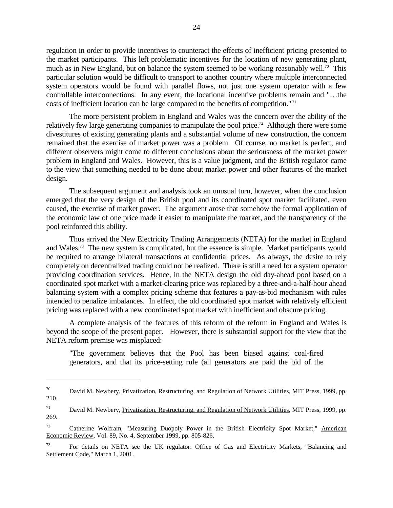regulation in order to provide incentives to counteract the effects of inefficient pricing presented to the market participants. This left problematic incentives for the location of new generating plant, much as in New England, but on balance the system seemed to be working reasonably well.<sup>70</sup> This particular solution would be difficult to transport to another country where multiple interconnected system operators would be found with parallel flows, not just one system operator with a few controllable interconnections. In any event, the locational incentive problems remain and "…the costs of inefficient location can be large compared to the benefits of competition." 71

The more persistent problem in England and Wales was the concern over the ability of the relatively few large generating companies to manipulate the pool price.<sup>72</sup> Although there were some divestitures of existing generating plants and a substantial volume of new construction, the concern remained that the exercise of market power was a problem. Of course, no market is perfect, and different observers might come to different conclusions about the seriousness of the market power problem in England and Wales. However, this is a value judgment, and the British regulator came to the view that something needed to be done about market power and other features of the market design.

The subsequent argument and analysis took an unusual turn, however, when the conclusion emerged that the very design of the British pool and its coordinated spot market facilitated, even caused, the exercise of market power. The argument arose that somehow the formal application of the economic law of one price made it easier to manipulate the market, and the transparency of the pool reinforced this ability.

Thus arrived the New Electricity Trading Arrangements (NETA) for the market in England and Wales.73 The new system is complicated, but the essence is simple. Market participants would be required to arrange bilateral transactions at confidential prices. As always, the desire to rely completely on decentralized trading could not be realized. There is still a need for a system operator providing coordination services. Hence, in the NETA design the old day-ahead pool based on a coordinated spot market with a market-clearing price was replaced by a three-and-a-half-hour ahead balancing system with a complex pricing scheme that features a pay-as-bid mechanism with rules intended to penalize imbalances. In effect, the old coordinated spot market with relatively efficient pricing was replaced with a new coordinated spot market with inefficient and obscure pricing.

A complete analysis of the features of this reform of the reform in England and Wales is beyond the scope of the present paper. However, there is substantial support for the view that the NETA reform premise was misplaced:

"The government believes that the Pool has been biased against coal-fired generators, and that its price-setting rule (all generators are paid the bid of the

 $70$  David M. Newbery, Privatization, Restructuring, and Regulation of Network Utilities, MIT Press, 1999, pp. 210.

<sup>&</sup>lt;sup>71</sup> David M. Newbery, Privatization, Restructuring, and Regulation of Network Utilities, MIT Press, 1999, pp. 269.

<sup>&</sup>lt;sup>72</sup> Catherine Wolfram, "Measuring Duopoly Power in the British Electricity Spot Market," American Economic Review, Vol. 89, No. 4, September 1999, pp. 805-826.

<sup>73</sup> For details on NETA see the UK regulator: Office of Gas and Electricity Markets, "Balancing and Settlement Code," March 1, 2001.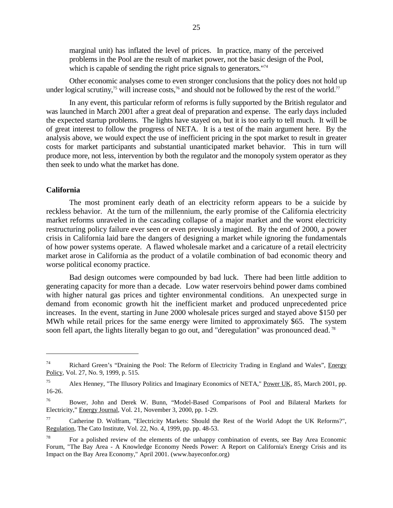marginal unit) has inflated the level of prices. In practice, many of the perceived problems in the Pool are the result of market power, not the basic design of the Pool, which is capable of sending the right price signals to generators."<sup>74</sup>

Other economic analyses come to even stronger conclusions that the policy does not hold up under logical scrutiny,<sup>75</sup> will increase costs,<sup>76</sup> and should not be followed by the rest of the world.<sup>77</sup>

In any event, this particular reform of reforms is fully supported by the British regulator and was launched in March 2001 after a great deal of preparation and expense. The early days included the expected startup problems. The lights have stayed on, but it is too early to tell much. It will be of great interest to follow the progress of NETA. It is a test of the main argument here. By the analysis above, we would expect the use of inefficient pricing in the spot market to result in greater costs for market participants and substantial unanticipated market behavior. This in turn will produce more, not less, intervention by both the regulator and the monopoly system operator as they then seek to undo what the market has done.

#### **California**

 $\overline{a}$ 

The most prominent early death of an electricity reform appears to be a suicide by reckless behavior. At the turn of the millennium, the early promise of the California electricity market reforms unraveled in the cascading collapse of a major market and the worst electricity restructuring policy failure ever seen or even previously imagined. By the end of 2000, a power crisis in California laid bare the dangers of designing a market while ignoring the fundamentals of how power systems operate. A flawed wholesale market and a caricature of a retail electricity market arose in California as the product of a volatile combination of bad economic theory and worse political economy practice.

Bad design outcomes were compounded by bad luck. There had been little addition to generating capacity for more than a decade. Low water reservoirs behind power dams combined with higher natural gas prices and tighter environmental conditions. An unexpected surge in demand from economic growth hit the inefficient market and produced unprecedented price increases. In the event, starting in June 2000 wholesale prices surged and stayed above \$150 per MWh while retail prices for the same energy were limited to approximately \$65. The system soon fell apart, the lights literally began to go out, and "deregulation" was pronounced dead.<sup>78</sup>

 $74$  Richard Green's "Draining the Pool: The Reform of Electricity Trading in England and Wales", Energy Policy, Vol. 27, No. 9, 1999, p. 515.

<sup>&</sup>lt;sup>75</sup> Alex Henney, "The Illusory Politics and Imaginary Economics of NETA," Power UK, 85, March 2001, pp. 16-26.

<sup>76</sup> Bower, John and Derek W. Bunn, "Model-Based Comparisons of Pool and Bilateral Markets for Electricity," Energy Journal, Vol. 21, November 3, 2000, pp. 1-29.

<sup>77</sup> Catherine D. Wolfram, "Electricity Markets: Should the Rest of the World Adopt the UK Reforms?", Regulation, The Cato Institute, Vol. 22, No. 4, 1999, pp. pp. 48-53.

<sup>78</sup> For a polished review of the elements of the unhappy combination of events, see Bay Area Economic Forum, "The Bay Area - A Knowledge Economy Needs Power: A Report on California's Energy Crisis and its Impact on the Bay Area Economy," April 2001. (www.bayeconfor.org)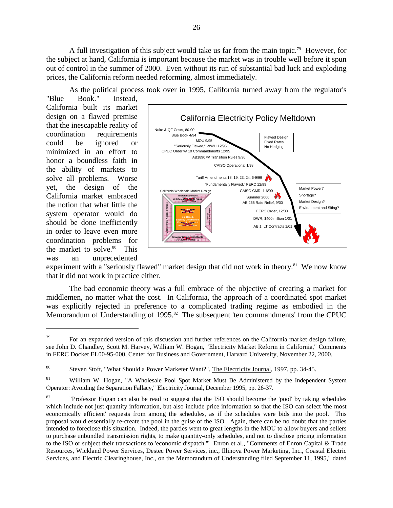A full investigation of this subject would take us far from the main topic.<sup>79</sup> However, for the subject at hand, California is important because the market was in trouble well before it spun out of control in the summer of 2000. Even without its run of substantial bad luck and exploding prices, the California reform needed reforming, almost immediately.

As the political process took over in 1995, California turned away from the regulator's

"Blue Book." Instead, California built its market design on a flawed premise that the inescapable reality of coordination requirements could be ignored or minimized in an effort to honor a boundless faith in the ability of markets to solve all problems. Worse yet, the design of the California market embraced the notion that what little the system operator would do should be done inefficiently in order to leave even more coordination problems for the market to solve.<sup>80</sup> This was an unprecedented

 $\overline{a}$ 



experiment with a "seriously flawed" market design that did not work in theory.<sup>81</sup> We now know that it did not work in practice either.

The bad economic theory was a full embrace of the objective of creating a market for middlemen, no matter what the cost. In California, the approach of a coordinated spot market was explicitly rejected in preference to a complicated trading regime as embodied in the Memorandum of Understanding of 1995.<sup>82</sup> The subsequent 'ten commandments' from the CPUC

<sup>&</sup>lt;sup>79</sup> For an expanded version of this discussion and further references on the California market design failure, see John D. Chandley, Scott M. Harvey, William W. Hogan, "Electricity Market Reform in California," Comments in FERC Docket EL00-95-000, Center for Business and Government, Harvard University, November 22, 2000.

<sup>&</sup>lt;sup>80</sup> Steven Stoft, "What Should a Power Marketer Want?", The Electricity Journal, 1997, pp. 34-45.

<sup>&</sup>lt;sup>81</sup> William W. Hogan, "A Wholesale Pool Spot Market Must Be Administered by the Independent System Operator: Avoiding the Separation Fallacy," Electricity Journal, December 1995, pp. 26-37.

<sup>&</sup>lt;sup>82</sup> "Professor Hogan can also be read to suggest that the ISO should become the 'pool' by taking schedules which include not just quantity information, but also include price information so that the ISO can select 'the most economically efficient' requests from among the schedules, as if the schedules were bids into the pool. This proposal would essentially re-create the pool in the guise of the ISO. Again, there can be no doubt that the parties intended to foreclose this situation. Indeed, the parties went to great lengths in the MOU to allow buyers and sellers to purchase unbundled transmission rights, to make quantity-only schedules, and not to disclose pricing information to the ISO or subject their transactions to 'economic dispatch.'" Enron et al., "Comments of Enron Capital & Trade Resources, Wickland Power Services, Destec Power Services, inc., Illinova Power Marketing, Inc., Coastal Electric Services, and Electric Clearinghouse, Inc., on the Memorandum of Understanding filed September 11, 1995," dated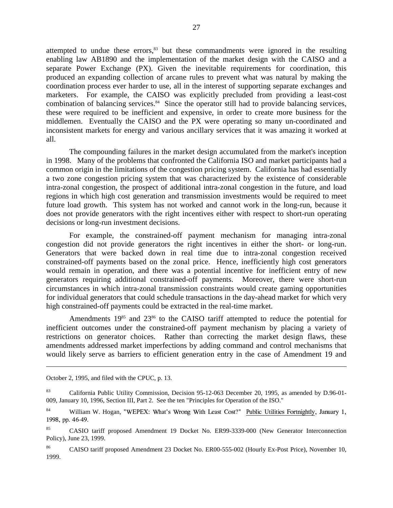attempted to undue these errors, $83$  but these commandments were ignored in the resulting enabling law AB1890 and the implementation of the market design with the CAISO and a separate Power Exchange (PX). Given the inevitable requirements for coordination, this produced an expanding collection of arcane rules to prevent what was natural by making the coordination process ever harder to use, all in the interest of supporting separate exchanges and marketers. For example, the CAISO was explicitly precluded from providing a least-cost combination of balancing services.<sup>84</sup> Since the operator still had to provide balancing services, these were required to be inefficient and expensive, in order to create more business for the middlemen. Eventually the CAISO and the PX were operating so many un-coordinated and inconsistent markets for energy and various ancillary services that it was amazing it worked at all.

The compounding failures in the market design accumulated from the market's inception in 1998. Many of the problems that confronted the California ISO and market participants had a common origin in the limitations of the congestion pricing system. California has had essentially a two zone congestion pricing system that was characterized by the existence of considerable intra-zonal congestion, the prospect of additional intra-zonal congestion in the future, and load regions in which high cost generation and transmission investments would be required to meet future load growth. This system has not worked and cannot work in the long-run, because it does not provide generators with the right incentives either with respect to short-run operating decisions or long-run investment decisions.

For example, the constrained-off payment mechanism for managing intra-zonal congestion did not provide generators the right incentives in either the short- or long-run. Generators that were backed down in real time due to intra-zonal congestion received constrained-off payments based on the zonal price. Hence, inefficiently high cost generators would remain in operation, and there was a potential incentive for inefficient entry of new generators requiring additional constrained-off payments. Moreover, there were short-run circumstances in which intra-zonal transmission constraints would create gaming opportunities for individual generators that could schedule transactions in the day-ahead market for which very high constrained-off payments could be extracted in the real-time market.

Amendments  $19^{85}$  and  $23^{86}$  to the CAISO tariff attempted to reduce the potential for inefficient outcomes under the constrained-off payment mechanism by placing a variety of restrictions on generator choices. Rather than correcting the market design flaws, these amendments addressed market imperfections by adding command and control mechanisms that would likely serve as barriers to efficient generation entry in the case of Amendment 19 and

October 2, 1995, and filed with the CPUC, p. 13.

<sup>83</sup> California Public Utility Commission, Decision 95-12-063 December 20, 1995, as amended by D.96-01- 009, January 10, 1996, Section III, Part 2. See the ten "Principles for Operation of the ISO."

<sup>&</sup>lt;sup>84</sup> William W. Hogan, "WEPEX: What's Wrong With Least Cost?" Public Utilities Fortnightly, January 1, 1998, pp. 46-49.

<sup>&</sup>lt;sup>85</sup> CASIO tariff proposed Amendment 19 Docket No. ER99-3339-000 (New Generator Interconnection Policy), June 23, 1999.

<sup>&</sup>lt;sup>86</sup> CAISO tariff proposed Amendment 23 Docket No. ER00-555-002 (Hourly Ex-Post Price), November 10, 1999.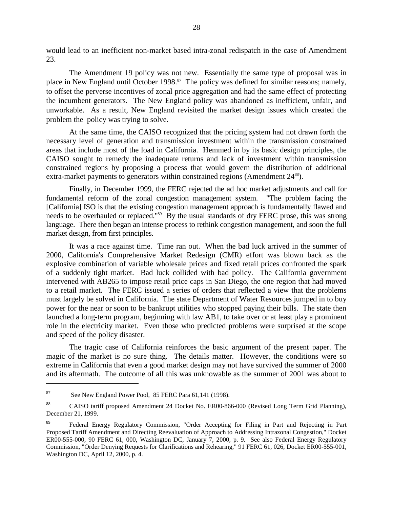would lead to an inefficient non-market based intra-zonal redispatch in the case of Amendment 23.

The Amendment 19 policy was not new. Essentially the same type of proposal was in place in New England until October 1998.<sup>87</sup> The policy was defined for similar reasons; namely, to offset the perverse incentives of zonal price aggregation and had the same effect of protecting the incumbent generators. The New England policy was abandoned as inefficient, unfair, and unworkable. As a result, New England revisited the market design issues which created the problem the policy was trying to solve.

At the same time, the CAISO recognized that the pricing system had not drawn forth the necessary level of generation and transmission investment within the transmission constrained areas that include most of the load in California. Hemmed in by its basic design principles, the CAISO sought to remedy the inadequate returns and lack of investment within transmission constrained regions by proposing a process that would govern the distribution of additional extra-market payments to generators within constrained regions (Amendment 24<sup>88</sup>).

Finally, in December 1999, the FERC rejected the ad hoc market adjustments and call for fundamental reform of the zonal congestion management system. "The problem facing the [California] ISO is that the existing congestion management approach is fundamentally flawed and needs to be overhauled or replaced."<sup>89</sup> By the usual standards of dry FERC prose, this was strong language. There then began an intense process to rethink congestion management, and soon the full market design, from first principles.

It was a race against time. Time ran out. When the bad luck arrived in the summer of 2000, California's Comprehensive Market Redesign (CMR) effort was blown back as the explosive combination of variable wholesale prices and fixed retail prices confronted the spark of a suddenly tight market. Bad luck collided with bad policy. The California government intervened with AB265 to impose retail price caps in San Diego, the one region that had moved to a retail market. The FERC issued a series of orders that reflected a view that the problems must largely be solved in California. The state Department of Water Resources jumped in to buy power for the near or soon to be bankrupt utilities who stopped paying their bills. The state then launched a long-term program, beginning with law AB1, to take over or at least play a prominent role in the electricity market. Even those who predicted problems were surprised at the scope and speed of the policy disaster.

The tragic case of California reinforces the basic argument of the present paper. The magic of the market is no sure thing. The details matter. However, the conditions were so extreme in California that even a good market design may not have survived the summer of 2000 and its aftermath. The outcome of all this was unknowable as the summer of 2001 was about to

<sup>87</sup> See New England Power Pool, 85 FERC Para 61,141 (1998).

<sup>&</sup>lt;sup>88</sup> CAISO tariff proposed Amendment 24 Docket No. ER00-866-000 (Revised Long Term Grid Planning), December 21, 1999.

<sup>89</sup> Federal Energy Regulatory Commission, "Order Accepting for Filing in Part and Rejecting in Part Proposed Tariff Amendment and Directing Reevaluation of Approach to Addressing Intrazonal Congestion," Docket ER00-555-000, 90 FERC 61, 000, Washington DC, January 7, 2000, p. 9. See also Federal Energy Regulatory Commission, "Order Denying Requests for Clarifications and Rehearing," 91 FERC 61, 026, Docket ER00-555-001, Washington DC, April 12, 2000, p. 4.